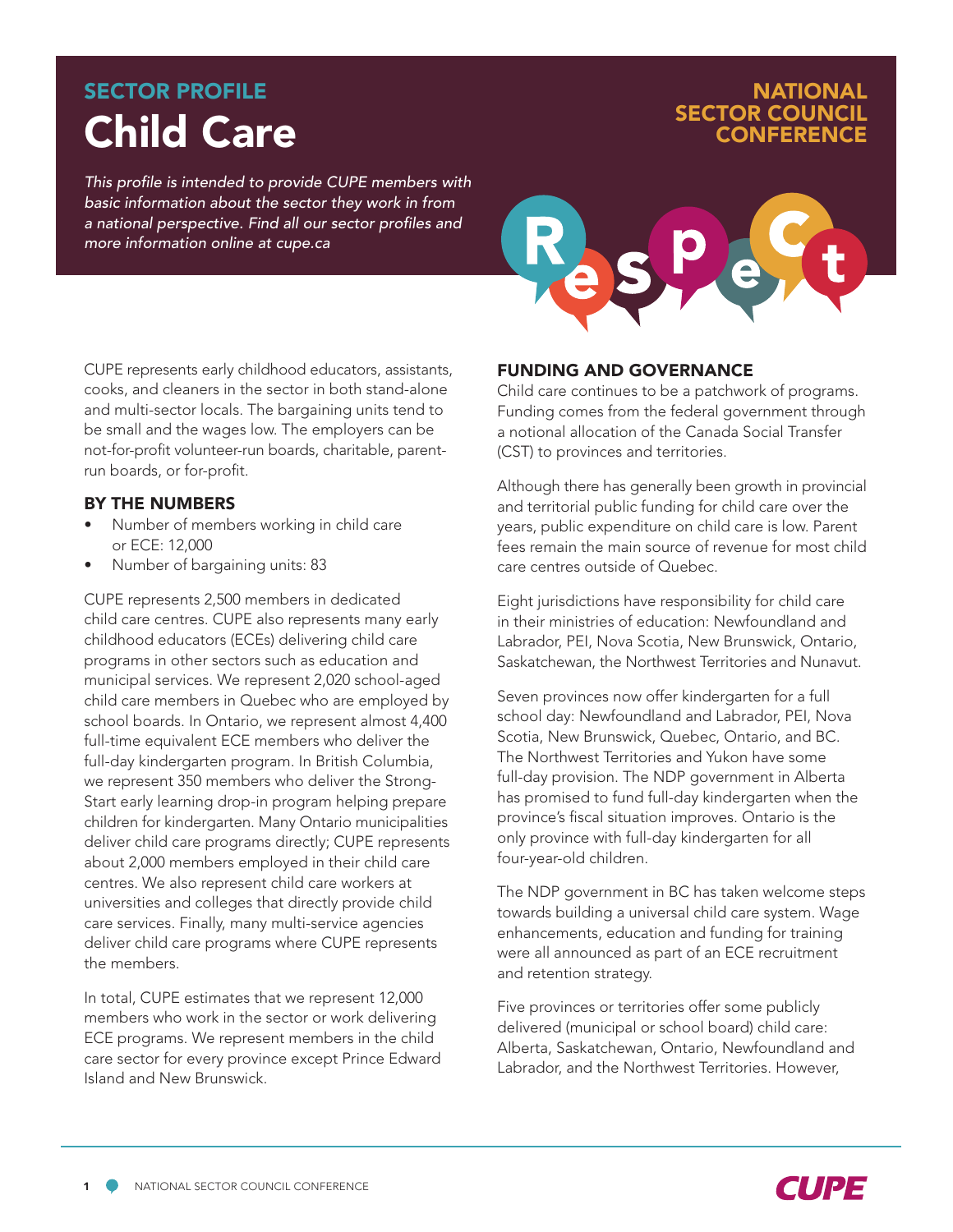# Child Care SECTOR PROFILE

*This profile is intended to provide CUPE members with basic information about the sector they work in from a national perspective. Find all our sector profiles and more information online at cupe.ca*



NATIONAL

SECTOR COUNCIL **CONFERENC** 

CUPE represents early childhood educators, assistants, cooks, and cleaners in the sector in both stand-alone and multi-sector locals. The bargaining units tend to be small and the wages low. The employers can be not-for-profit volunteer-run boards, charitable, parentrun boards, or for-profit.

#### BY THE NUMBERS

- Number of members working in child care or ECE: 12,000
- Number of bargaining units: 83

CUPE represents 2,500 members in dedicated child care centres. CUPE also represents many early childhood educators (ECEs) delivering child care programs in other sectors such as education and municipal services. We represent 2,020 school-aged child care members in Quebec who are employed by school boards. In Ontario, we represent almost 4,400 full-time equivalent ECE members who deliver the full-day kindergarten program. In British Columbia, we represent 350 members who deliver the Strong-Start early learning drop-in program helping prepare children for kindergarten. Many Ontario municipalities deliver child care programs directly; CUPE represents about 2,000 members employed in their child care centres. We also represent child care workers at universities and colleges that directly provide child care services. Finally, many multi-service agencies deliver child care programs where CUPE represents the members.

In total, CUPE estimates that we represent 12,000 members who work in the sector or work delivering ECE programs. We represent members in the child care sector for every province except Prince Edward Island and New Brunswick.

#### FUNDING AND GOVERNANCE

Child care continues to be a patchwork of programs. Funding comes from the federal government through a notional allocation of the Canada Social Transfer (CST) to provinces and territories.

Although there has generally been growth in provincial and territorial public funding for child care over the years, public expenditure on child care is low. Parent fees remain the main source of revenue for most child care centres outside of Quebec.

Eight jurisdictions have responsibility for child care in their ministries of education: Newfoundland and Labrador, PEI, Nova Scotia, New Brunswick, Ontario, Saskatchewan, the Northwest Territories and Nunavut.

Seven provinces now offer kindergarten for a full school day: Newfoundland and Labrador, PEI, Nova Scotia, New Brunswick, Quebec, Ontario, and BC. The Northwest Territories and Yukon have some full-day provision. The NDP government in Alberta has promised to fund full-day kindergarten when the province's fiscal situation improves. Ontario is the only province with full-day kindergarten for all four-year-old children.

The NDP government in BC has taken welcome steps towards building a universal child care system. Wage enhancements, education and funding for training were all announced as part of an ECE recruitment and retention strategy.

Five provinces or territories offer some publicly delivered (municipal or school board) child care: Alberta, Saskatchewan, Ontario, Newfoundland and Labrador, and the Northwest Territories. However,

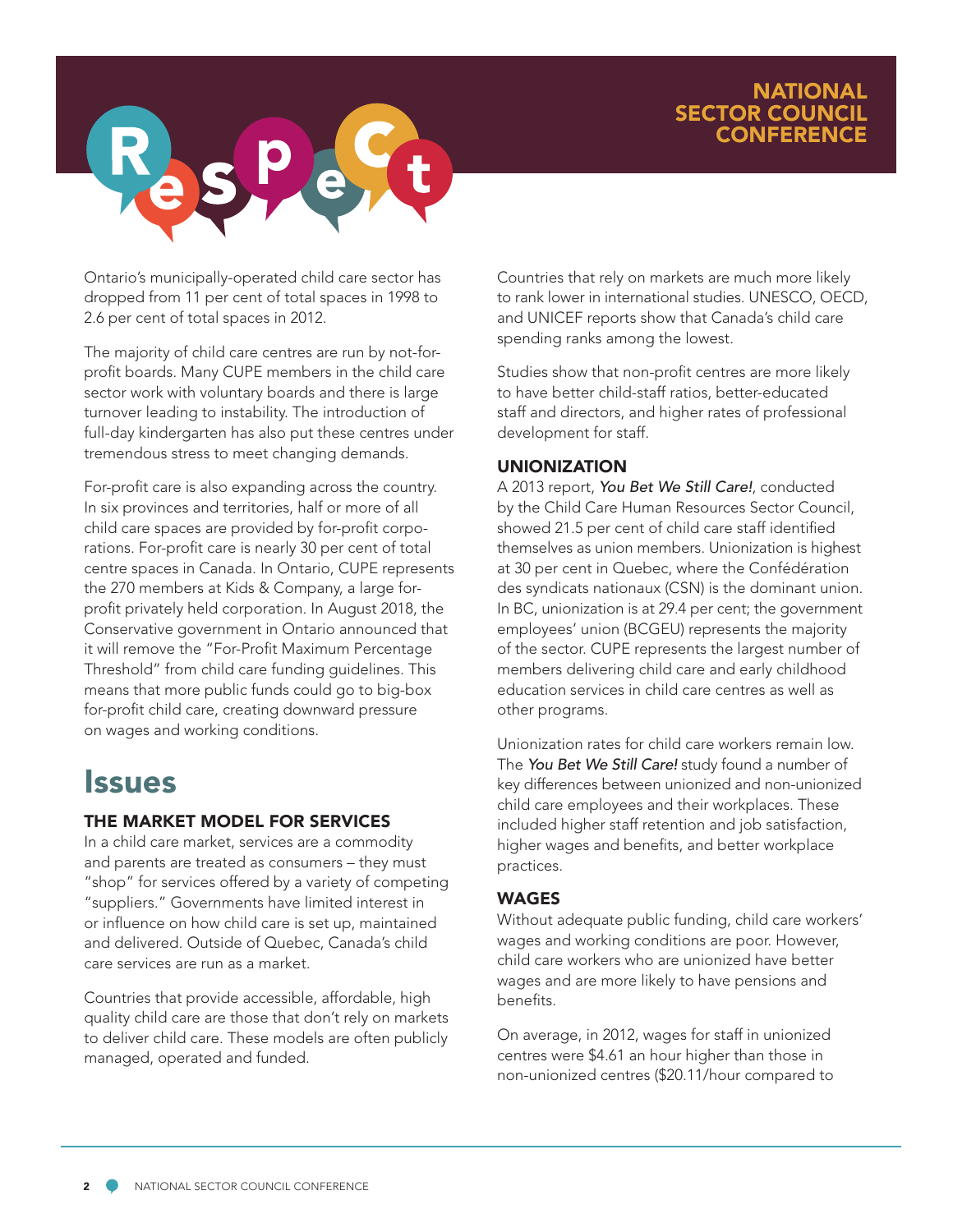### NATIONAL SECTOR COUNCIL **CONFERENCE**



Ontario's municipally-operated child care sector has dropped from 11 per cent of total spaces in 1998 to 2.6 per cent of total spaces in 2012.

The majority of child care centres are run by not-forprofit boards. Many CUPE members in the child care sector work with voluntary boards and there is large turnover leading to instability. The introduction of full-day kindergarten has also put these centres under tremendous stress to meet changing demands.

For-profit care is also expanding across the country. In six provinces and territories, half or more of all child care spaces are provided by for-profit corporations. For-profit care is nearly 30 per cent of total centre spaces in Canada. In Ontario, CUPE represents the 270 members at Kids & Company, a large forprofit privately held corporation. In August 2018, the Conservative government in Ontario announced that it will remove the "For-Profit Maximum Percentage Threshold" from child care funding guidelines. This means that more public funds could go to big-box for-profit child care, creating downward pressure on wages and working conditions.

## **Issues**

### THE MARKET MODEL FOR SERVICES

In a child care market, services are a commodity and parents are treated as consumers – they must "shop" for services offered by a variety of competing "suppliers." Governments have limited interest in or influence on how child care is set up, maintained and delivered. Outside of Quebec, Canada's child care services are run as a market.

Countries that provide accessible, affordable, high quality child care are those that don't rely on markets to deliver child care. These models are often publicly managed, operated and funded.

Countries that rely on markets are much more likely to rank lower in international studies. UNESCO, OECD, and UNICEF reports show that Canada's child care spending ranks among the lowest.

Studies show that non-profit centres are more likely to have better child-staff ratios, better-educated staff and directors, and higher rates of professional development for staff.

#### UNIONIZATION

A 2013 report, *You Bet We Still Care!*, conducted by the Child Care Human Resources Sector Council, showed 21.5 per cent of child care staff identified themselves as union members. Unionization is highest at 30 per cent in Quebec, where the Confédération des syndicats nationaux (CSN) is the dominant union. In BC, unionization is at 29.4 per cent; the government employees' union (BCGEU) represents the majority of the sector. CUPE represents the largest number of members delivering child care and early childhood education services in child care centres as well as other programs.

Unionization rates for child care workers remain low. The *You Bet We Still Care!* study found a number of key differences between unionized and non-unionized child care employees and their workplaces. These included higher staff retention and job satisfaction, higher wages and benefits, and better workplace practices.

#### WAGES

Without adequate public funding, child care workers' wages and working conditions are poor. However, child care workers who are unionized have better wages and are more likely to have pensions and benefits.

On average, in 2012, wages for staff in unionized centres were \$4.61 an hour higher than those in non-unionized centres (\$20.11/hour compared to